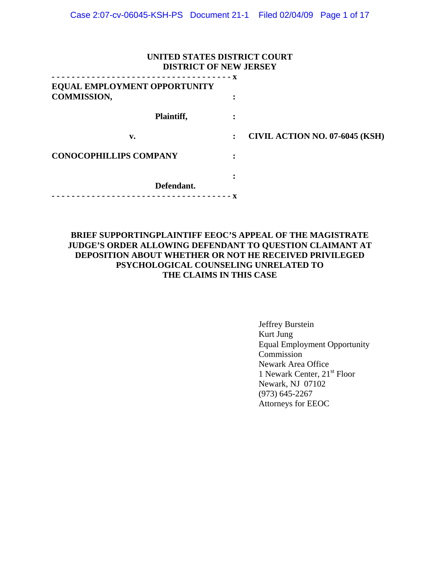| UNITED STATES DISTRICT COURT<br><b>DISTRICT OF NEW JERSEY</b> |  |                                       |  |  |
|---------------------------------------------------------------|--|---------------------------------------|--|--|
| <b>EQUAL EMPLOYMENT OPPORTUNITY</b><br><b>COMMISSION,</b>     |  |                                       |  |  |
| Plaintiff,                                                    |  |                                       |  |  |
| v.                                                            |  | <b>CIVIL ACTION NO. 07-6045 (KSH)</b> |  |  |
| <b>CONOCOPHILLIPS COMPANY</b>                                 |  |                                       |  |  |
| Defendant.                                                    |  |                                       |  |  |

# **BRIEF SUPPORTINGPLAINTIFF EEOC'S APPEAL OF THE MAGISTRATE JUDGE'S ORDER ALLOWING DEFENDANT TO QUESTION CLAIMANT AT DEPOSITION ABOUT WHETHER OR NOT HE RECEIVED PRIVILEGED PSYCHOLOGICAL COUNSELING UNRELATED TO THE CLAIMS IN THIS CASE**

 Jeffrey Burstein Kurt Jung Equal Employment Opportunity **Commission**  Newark Area Office 1 Newark Center, 21st Floor Newark, NJ 07102 (973) 645-2267 Attorneys for EEOC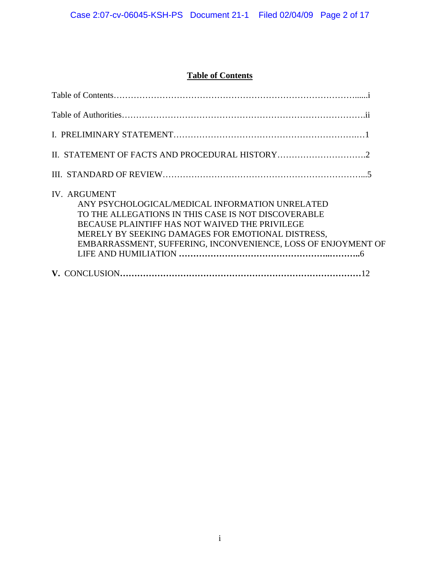# **Table of Contents**

| <b>IV. ARGUMENT</b><br>ANY PSYCHOLOGICAL/MEDICAL INFORMATION UNRELATED<br>TO THE ALLEGATIONS IN THIS CASE IS NOT DISCOVERABLE<br>BECAUSE PLAINTIFF HAS NOT WAIVED THE PRIVILEGE<br>MERELY BY SEEKING DAMAGES FOR EMOTIONAL DISTRESS,<br>EMBARRASSMENT, SUFFERING, INCONVENIENCE, LOSS OF ENJOYMENT OF |
|-------------------------------------------------------------------------------------------------------------------------------------------------------------------------------------------------------------------------------------------------------------------------------------------------------|
|                                                                                                                                                                                                                                                                                                       |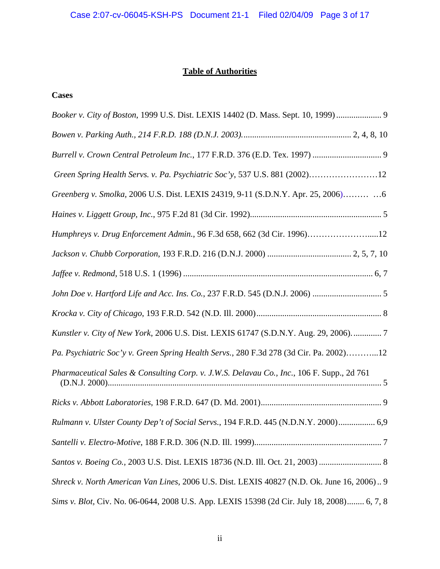# **Table of Authorities**

# **Cases**

| Booker v. City of Boston, 1999 U.S. Dist. LEXIS 14402 (D. Mass. Sept. 10, 1999)  9         |
|--------------------------------------------------------------------------------------------|
|                                                                                            |
| Burrell v. Crown Central Petroleum Inc., 177 F.R.D. 376 (E.D. Tex. 1997)  9                |
| Green Spring Health Servs. v. Pa. Psychiatric Soc'y, 537 U.S. 881 (2002)12                 |
| Greenberg v. Smolka, 2006 U.S. Dist. LEXIS 24319, 9-11 (S.D.N.Y. Apr. 25, 2006)  6         |
|                                                                                            |
| Humphreys v. Drug Enforcement Admin., 96 F.3d 658, 662 (3d Cir. 1996)12                    |
|                                                                                            |
|                                                                                            |
|                                                                                            |
|                                                                                            |
| Kunstler v. City of New York, 2006 U.S. Dist. LEXIS 61747 (S.D.N.Y. Aug. 29, 2006).  7     |
| Pa. Psychiatric Soc'y v. Green Spring Health Servs., 280 F.3d 278 (3d Cir. Pa. 2002)12     |
| Pharmaceutical Sales & Consulting Corp. v. J.W.S. Delavau Co., Inc., 106 F. Supp., 2d 761  |
|                                                                                            |
| Rulmann v. Ulster County Dep't of Social Servs., 194 F.R.D. 445 (N.D.N.Y. 2000) 6,9        |
|                                                                                            |
| Santos v. Boeing Co., 2003 U.S. Dist. LEXIS 18736 (N.D. Ill. Oct. 21, 2003)  8             |
| Shreck v. North American Van Lines, 2006 U.S. Dist. LEXIS 40827 (N.D. Ok. June 16, 2006) 9 |
| Sims v. Blot, Civ. No. 06-0644, 2008 U.S. App. LEXIS 15398 (2d Cir. July 18, 2008) 6, 7, 8 |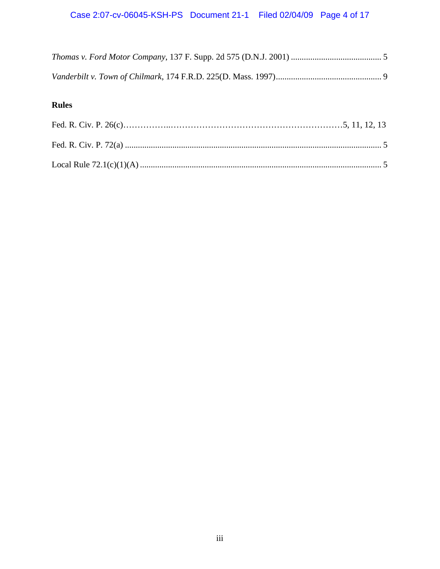# **Rules**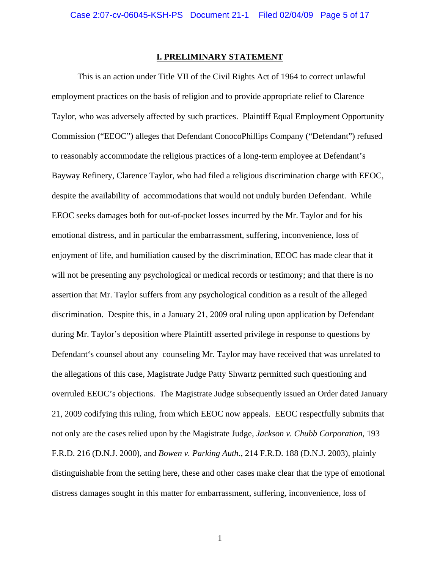### **I. PRELIMINARY STATEMENT**

 This is an action under Title VII of the Civil Rights Act of 1964 to correct unlawful employment practices on the basis of religion and to provide appropriate relief to Clarence Taylor, who was adversely affected by such practices. Plaintiff Equal Employment Opportunity Commission ("EEOC") alleges that Defendant ConocoPhillips Company ("Defendant") refused to reasonably accommodate the religious practices of a long-term employee at Defendant's Bayway Refinery, Clarence Taylor, who had filed a religious discrimination charge with EEOC, despite the availability of accommodations that would not unduly burden Defendant. While EEOC seeks damages both for out-of-pocket losses incurred by the Mr. Taylor and for his emotional distress, and in particular the embarrassment, suffering, inconvenience, loss of enjoyment of life, and humiliation caused by the discrimination, EEOC has made clear that it will not be presenting any psychological or medical records or testimony; and that there is no assertion that Mr. Taylor suffers from any psychological condition as a result of the alleged discrimination. Despite this, in a January 21, 2009 oral ruling upon application by Defendant during Mr. Taylor's deposition where Plaintiff asserted privilege in response to questions by Defendant's counsel about any counseling Mr. Taylor may have received that was unrelated to the allegations of this case, Magistrate Judge Patty Shwartz permitted such questioning and overruled EEOC's objections. The Magistrate Judge subsequently issued an Order dated January 21, 2009 codifying this ruling, from which EEOC now appeals. EEOC respectfully submits that not only are the cases relied upon by the Magistrate Judge, *Jackson v. Chubb Corporation*, 193 F.R.D. 216 (D.N.J. 2000), and *Bowen v. Parking Auth.*, [214 F.R.D. 188 \(D.N.J. 2003\)](http://www.lexis.com/research/xlink?app=00075&view=full&searchtype=get&search=214+F.R.D.+195), plainly distinguishable from the setting here, these and other cases make clear that the type of emotional distress damages sought in this matter for embarrassment, suffering, inconvenience, loss of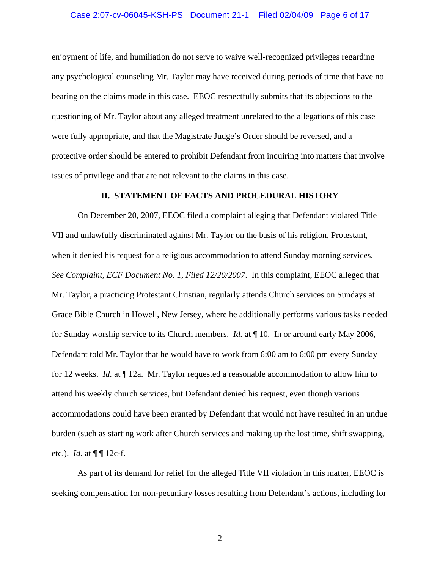### Case 2:07-cv-06045-KSH-PS Document 21-1 Filed 02/04/09 Page 6 of 17

enjoyment of life, and humiliation do not serve to waive well-recognized privileges regarding any psychological counseling Mr. Taylor may have received during periods of time that have no bearing on the claims made in this case. EEOC respectfully submits that its objections to the questioning of Mr. Taylor about any alleged treatment unrelated to the allegations of this case were fully appropriate, and that the Magistrate Judge's Order should be reversed, and a protective order should be entered to prohibit Defendant from inquiring into matters that involve issues of privilege and that are not relevant to the claims in this case.

### **II. STATEMENT OF FACTS AND PROCEDURAL HISTORY**

On December 20, 2007, EEOC filed a complaint alleging that Defendant violated Title VII and unlawfully discriminated against Mr. Taylor on the basis of his religion, Protestant, when it denied his request for a religious accommodation to attend Sunday morning services. *See Complaint, ECF Document No. 1, Filed 12/20/2007*. In this complaint, EEOC alleged that Mr. Taylor, a practicing Protestant Christian, regularly attends Church services on Sundays at Grace Bible Church in Howell, New Jersey, where he additionally performs various tasks needed for Sunday worship service to its Church members. *Id.* at ¶ 10. In or around early May 2006, Defendant told Mr. Taylor that he would have to work from 6:00 am to 6:00 pm every Sunday for 12 weeks. *Id.* at ¶ 12a. Mr. Taylor requested a reasonable accommodation to allow him to attend his weekly church services, but Defendant denied his request, even though various accommodations could have been granted by Defendant that would not have resulted in an undue burden (such as starting work after Church services and making up the lost time, shift swapping, etc.). *Id.* at  $\P\P$  12c-f.

 As part of its demand for relief for the alleged Title VII violation in this matter, EEOC is seeking compensation for non-pecuniary losses resulting from Defendant's actions, including for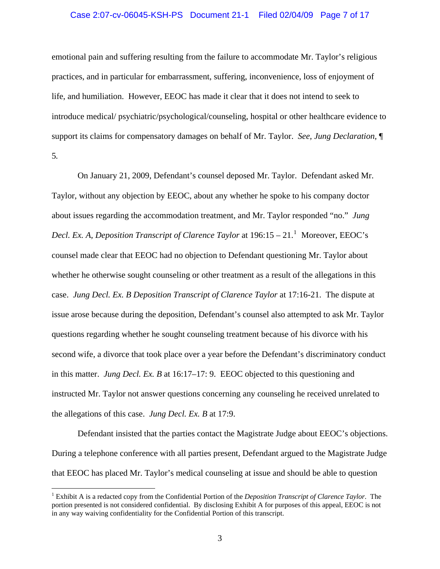### Case 2:07-cv-06045-KSH-PS Document 21-1 Filed 02/04/09 Page 7 of 17

emotional pain and suffering resulting from the failure to accommodate Mr. Taylor's religious practices, and in particular for embarrassment, suffering, inconvenience, loss of enjoyment of life, and humiliation. However, EEOC has made it clear that it does not intend to seek to introduce medical/ psychiatric/psychological/counseling, hospital or other healthcare evidence to support its claims for compensatory damages on behalf of Mr. Taylor. *See, Jung Declaration,* ¶ 5*.*

 On January 21, 2009, Defendant's counsel deposed Mr. Taylor. Defendant asked Mr. Taylor, without any objection by EEOC, about any whether he spoke to his company doctor about issues regarding the accommodation treatment, and Mr. Taylor responded "no." *Jung Decl. Ex. A, Deposition Transcript of Clarence Taylor* at  $196:15 - 21$  $196:15 - 21$ .<sup>1</sup> Moreover, EEOC's counsel made clear that EEOC had no objection to Defendant questioning Mr. Taylor about whether he otherwise sought counseling or other treatment as a result of the allegations in this case. *Jung Decl. Ex. B Deposition Transcript of Clarence Taylor* at 17:16-21. The dispute at issue arose because during the deposition, Defendant's counsel also attempted to ask Mr. Taylor questions regarding whether he sought counseling treatment because of his divorce with his second wife, a divorce that took place over a year before the Defendant's discriminatory conduct in this matter. *Jung Decl. Ex. B* at 16:17–17: 9. EEOC objected to this questioning and instructed Mr. Taylor not answer questions concerning any counseling he received unrelated to the allegations of this case. *Jung Decl. Ex. B* at 17:9.

 Defendant insisted that the parties contact the Magistrate Judge about EEOC's objections. During a telephone conference with all parties present, Defendant argued to the Magistrate Judge that EEOC has placed Mr. Taylor's medical counseling at issue and should be able to question

 $\overline{a}$ 

<span id="page-6-0"></span><sup>1</sup> Exhibit A is a redacted copy from the Confidential Portion of the *Deposition Transcript of Clarence Taylor*. The portion presented is not considered confidential. By disclosing Exhibit A for purposes of this appeal, EEOC is not in any way waiving confidentiality for the Confidential Portion of this transcript.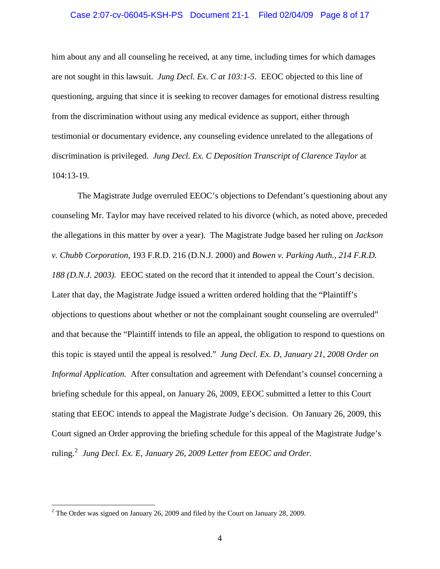### Case 2:07-cv-06045-KSH-PS Document 21-1 Filed 02/04/09 Page 8 of 17

him about any and all counseling he received, at any time, including times for which damages are not sought in this lawsuit. *Jung Decl. Ex. C at 103:1-5*. EEOC objected to this line of questioning, arguing that since it is seeking to recover damages for emotional distress resulting from the discrimination without using any medical evidence as support, either through testimonial or documentary evidence, any counseling evidence unrelated to the allegations of discrimination is privileged. *Jung Decl. Ex. C Deposition Transcript of Clarence Taylor* at 104:13-19*.* 

 The Magistrate Judge overruled EEOC's objections to Defendant's questioning about any counseling Mr. Taylor may have received related to his divorce (which, as noted above, preceded the allegations in this matter by over a year). The Magistrate Judge based her ruling on *Jackson v. Chubb Corporation*, 193 F.R.D. 216 (D.N.J. 2000) and *[Bowen v. Parking Auth., 214 F.R.D.](http://www.lexis.com/research/xlink?app=00075&view=full&searchtype=get&search=214+F.R.D.+195)*  [188 \(D.N.J. 2003\).](http://www.lexis.com/research/xlink?app=00075&view=full&searchtype=get&search=214+F.R.D.+195) EEOC stated on the record that it intended to appeal the Court's decision. Later that day, the Magistrate Judge issued a written ordered holding that the "Plaintiff's objections to questions about whether or not the complainant sought counseling are overruled" and that because the "Plaintiff intends to file an appeal, the obligation to respond to questions on this topic is stayed until the appeal is resolved." *Jung Decl. Ex. D, January 21, 2008 Order on Informal Application.* After consultation and agreement with Defendant's counsel concerning a briefing schedule for this appeal, on January 26, 2009, EEOC submitted a letter to this Court stating that EEOC intends to appeal the Magistrate Judge's decision. On January 26, 2009, this Court signed an Order approving the briefing schedule for this appeal of the Magistrate Judge's ruling.<sup>[2](#page-7-0)</sup> Jung Decl. Ex. E, January 26, 2009 Letter from EEOC and Order.

<span id="page-7-0"></span><sup>&</sup>lt;sup>2</sup> The Order was signed on January 26, 2009 and filed by the Court on January 28, 2009.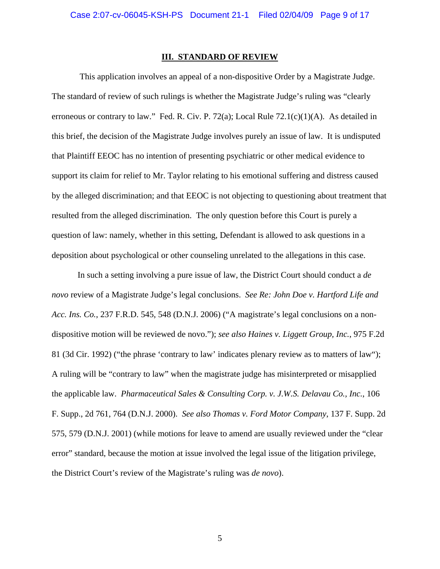#### **III. STANDARD OF REVIEW**

 This application involves an appeal of a non-dispositive Order by a Magistrate Judge. The standard of review of such rulings is whether the Magistrate Judge's ruling was "clearly erroneous or contrary to law." Fed. R. Civ. P. 72(a); Local Rule 72.1(c)(1)(A). As detailed in this brief, the decision of the Magistrate Judge involves purely an issue of law. It is undisputed that Plaintiff EEOC has no intention of presenting psychiatric or other medical evidence to support its claim for relief to Mr. Taylor relating to his emotional suffering and distress caused by the alleged discrimination; and that EEOC is not objecting to questioning about treatment that resulted from the alleged discrimination. The only question before this Court is purely a question of law: namely, whether in this setting, Defendant is allowed to ask questions in a deposition about psychological or other counseling unrelated to the allegations in this case.

 In such a setting involving a pure issue of law, the District Court should conduct a *de novo* review of a Magistrate Judge's legal conclusions. *See Re: John Doe v. Hartford Life and Acc. Ins. Co.*, 237 F.R.D. 545, 548 (D.N.J. 2006) ("A magistrate's legal conclusions on a nondispositive motion will be reviewed de novo."); *see also Haines v. Liggett Group, Inc.*, 975 F.2d 81 (3d Cir. 1992) ("the phrase 'contrary to law' indicates plenary review as to matters of law"); A ruling will be "contrary to law" when the magistrate judge has misinterpreted or misapplied the applicable law. *Pharmaceutical Sales & Consulting Corp. v. J.W.S. Delavau Co., Inc.*, 106 F. Supp., 2d 761, 764 (D.N.J. 2000). *See also Thomas v. Ford Motor Company*, 137 F. Supp. 2d 575, 579 (D.N.J. 2001) (while motions for leave to amend are usually reviewed under the "clear error" standard, because the motion at issue involved the legal issue of the litigation privilege, the District Court's review of the Magistrate's ruling was *de novo*).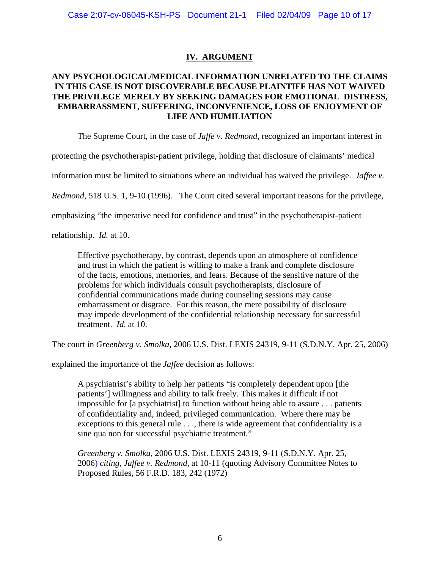# **IV. ARGUMENT**

# **ANY PSYCHOLOGICAL/MEDICAL INFORMATION UNRELATED TO THE CLAIMS IN THIS CASE IS NOT DISCOVERABLE BECAUSE PLAINTIFF HAS NOT WAIVED THE PRIVILEGE MERELY BY SEEKING DAMAGES FOR EMOTIONAL DISTRESS, EMBARRASSMENT, SUFFERING, INCONVENIENCE, LOSS OF ENJOYMENT OF LIFE AND HUMILIATION**

The Supreme Court, in the case of *Jaffe v. Redmond*, recognized an important interest in

protecting the psychotherapist-patient privilege, holding that disclosure of claimants' medical

information must be limited to situations where an individual has waived the privilege. *Jaffee v.* 

*Redmond*, 518 U.S. 1, 9-10 (1996). The Court cited several important reasons for the privilege,

emphasizing "the imperative need for confidence and trust" in the psychotherapist-patient

relationship. *Id.* at 10.

Effective psychotherapy, by contrast, depends upon an atmosphere of confidence and trust in which the patient is willing to make a frank and complete disclosure of the facts, emotions, memories, and fears. Because of the sensitive nature of the problems for which individuals consult psychotherapists, disclosure of confidential communications made during counseling sessions may cause embarrassment or disgrace. For this reason, the mere possibility of disclosure may impede development of the confidential relationship necessary for successful treatment. *Id*. at 10.

The court in *Greenberg v. Smolka*, 2006 U.S. Dist. LEXIS 24319, 9-11 (S.D.N.Y. Apr. 25, 2006)

explained the importance of the *Jaffee* decision as follows:

A psychiatrist's ability to help her patients "is completely dependent upon [the patients'] willingness and ability to talk freely. This makes it difficult if not impossible for [a psychiatrist] to function without being able to assure . . . patients of confidentiality and, indeed, privileged communication. Where there may be exceptions to this general rule . . ., there is wide agreement that confidentiality is a sine qua non for successful psychiatric treatment."

*Greenberg v. Smolka,* [2006 U.S. Dist. LEXIS 24319, 9-11 \(S.D.N.Y. Apr. 25,](http://www.lexis.com/research/xlink?app=00075&view=full&searchtype=get&search=2006+U.S.+Dist.+LEXIS+24319)  [2006\)](http://www.lexis.com/research/xlink?app=00075&view=full&searchtype=get&search=2006+U.S.+Dist.+LEXIS+24319) *citing, Jaffee v. Redmond*, at 10-11 (quoting Advisory Committee Notes to Proposed Rules, 56 F.R.D. 183, 242 (1972)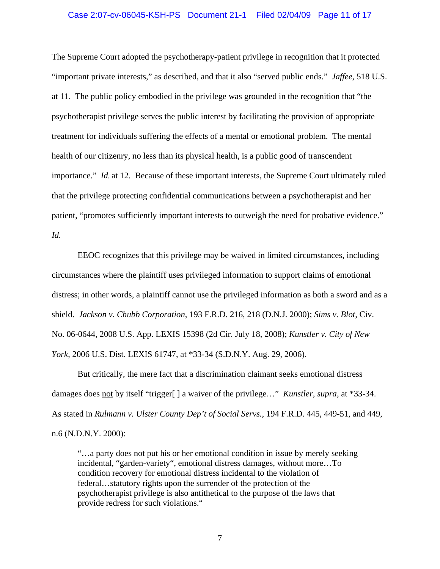### Case 2:07-cv-06045-KSH-PS Document 21-1 Filed 02/04/09 Page 11 of 17

The Supreme Court adopted the psychotherapy-patient privilege in recognition that it protected "important private interests," as described, and that it also "served public ends." *Jaffee*, 518 U.S. at 11. The public policy embodied in the privilege was grounded in the recognition that "the psychotherapist privilege serves the public interest by facilitating the provision of appropriate treatment for individuals suffering the effects of a mental or emotional problem. The mental health of our citizenry, no less than its physical health, is a public good of transcendent importance." *Id.* at 12. Because of these important interests, the Supreme Court ultimately ruled that the privilege protecting confidential communications between a psychotherapist and her patient, "promotes sufficiently important interests to outweigh the need for probative evidence." *Id.*

 EEOC recognizes that this privilege may be waived in limited circumstances, including circumstances where the plaintiff uses privileged information to support claims of emotional distress; in other words, a plaintiff cannot use the privileged information as both a sword and as a shield. *Jackson v. Chubb Corporation*, 193 F.R.D. 216, 218 (D.N.J. 2000); *Sims v. Blot,* Civ. No. 06-0644, 2008 U.S. App. LEXIS 15398 (2d Cir. July 18, 2008); *Kunstler v. City of New York*, 2006 U.S. Dist. LEXIS 61747, at \*33-34 (S.D.N.Y. Aug. 29, 2006).

 But critically, the mere fact that a discrimination claimant seeks emotional distress damages does not by itself "trigger[ ] a waiver of the privilege…" *Kunstler*, *supra*, at \*33-34. As stated in *Rulmann v. Ulster County Dep't of Social Servs.*, 194 F.R.D. 445, 449-51, and 449, n.6 (N.D.N.Y. 2000):

"…a party does not put his or her emotional condition in issue by merely seeking incidental, "garden-variety", emotional distress damages, without more…To condition recovery for emotional distress incidental to the violation of federal…statutory rights upon the surrender of the protection of the psychotherapist privilege is also antithetical to the purpose of the laws that provide redress for such violations."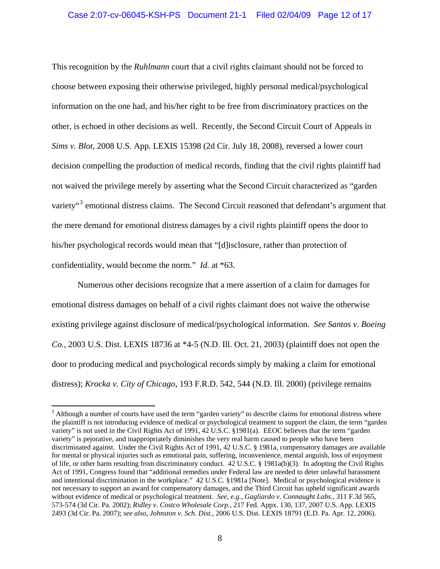This recognition by the *Ruhlmann* court that a civil rights claimant should not be forced to choose between exposing their otherwise privileged, highly personal medical/psychological information on the one had, and his/her right to be free from discriminatory practices on the other, is echoed in other decisions as well. Recently, the Second Circuit Court of Appeals in *Sims v. Blot*, 2008 U.S. App. LEXIS 15398 (2d Cir. July 18, 2008), reversed a lower court decision compelling the production of medical records, finding that the civil rights plaintiff had not waived the privilege merely by asserting what the Second Circuit characterized as "garden variety"<sup>[3](#page-11-0)</sup> emotional distress claims. The Second Circuit reasoned that defendant's argument that the mere demand for emotional distress damages by a civil rights plaintiff opens the door to his/her psychological records would mean that "[d]isclosure, rather than protection of confidentiality, would become the norm." *Id.* at \*63.

 Numerous other decisions recognize that a mere assertion of a claim for damages for emotional distress damages on behalf of a civil rights claimant does not waive the otherwise existing privilege against disclosure of medical/psychological information. *See Santos v. Boeing Co.,* 2003 U.S. Dist. LEXIS 18736 at \*4-5 (N.D. Ill. Oct. 21, 2003) (plaintiff does not open the door to producing medical and psychological records simply by making a claim for emotional distress); *Krocka v. City of Chicago*, 193 F.R.D. 542, 544 (N.D. Ill. 2000) (privilege remains

 $\overline{a}$ 

<span id="page-11-0"></span> $3$  Although a number of courts have used the term "garden variety" to describe claims for emotional distress where the plaintiff is not introducing evidence of medical or psychological treatment to support the claim, the term "garden variety" is not used in the Civil Rights Act of 1991, 42 U.S.C. §1981(a). EEOC believes that the term "garden variety" is pejorative, and inappropriately diminishes the very real harm caused to people who have been discriminated against. Under the Civil Rights Act of 1991, 42 U.S.C. § 1981a, compensatory damages are available for mental or physical injuries such as emotional pain, suffering, inconvenience, mental anguish, loss of enjoyment of life, or other harm resulting from discriminatory conduct. 42 U.S.C. § 1981a(b)(3). In adopting the Civil Rights Act of 1991, Congress found that "additional remedies under Federal law are needed to deter unlawful harassment and intentional discrimination in the workplace." 42 U.S.C. §1981a [Note]. Medical or psychological evidence is not necessary to support an award for compensatory damages, and the Third Circuit has upheld significant awards without evidence of medical or psychological treatment. *See, e.g., Gagliardo v. Connaught Labs.*, 311 F.3d 565, 573-574 (3d Cir. Pa. 2002); *Ridley v. Costco Wholesale Corp.*, 217 Fed. Appx. 130, 137, 2007 U.S. App. LEXIS 2493 (3d Cir. Pa. 2007); *see also*, *Johnston v. Sch. Dist.*, 2006 U.S. Dist. LEXIS 18791 (E.D. Pa. Apr. 12, 2006).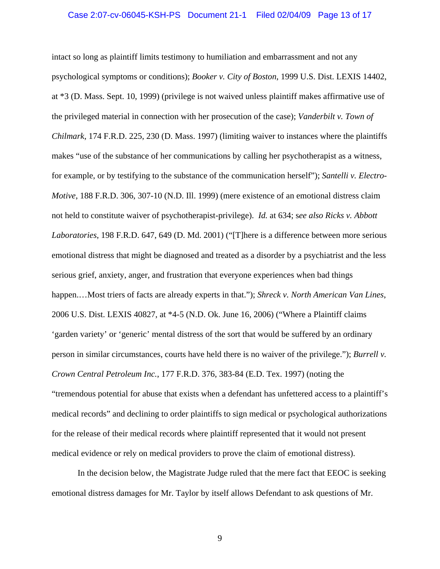### Case 2:07-cv-06045-KSH-PS Document 21-1 Filed 02/04/09 Page 13 of 17

intact so long as plaintiff limits testimony to humiliation and embarrassment and not any psychological symptoms or conditions); *Booker v. City of Boston*, 1999 U.S. Dist. LEXIS 14402, at \*3 (D. Mass. Sept. 10, 1999) (privilege is not waived unless plaintiff makes affirmative use of the privileged material in connection with her prosecution of the case); *Vanderbilt v. Town of Chilmark*, 174 F.R.D. 225, 230 (D. Mass. 1997) (limiting waiver to instances where the plaintiffs makes "use of the substance of her communications by calling her psychotherapist as a witness, for example, or by testifying to the substance of the communication herself"); *Santelli v. Electro-Motive*, 188 F.R.D. 306, 307-10 (N.D. Ill. 1999) (mere existence of an emotional distress claim not held to constitute waiver of psychotherapist-privilege). *Id.* at 634; s*ee also Ricks v. Abbott Laboratories*, 198 F.R.D. 647, 649 (D. Md. 2001) ("[T]here is a difference between more serious emotional distress that might be diagnosed and treated as a disorder by a psychiatrist and the less serious grief, anxiety, anger, and frustration that everyone experiences when bad things happen.…Most triers of facts are already experts in that."); *Shreck v. North American Van Lines*, 2006 U.S. Dist. LEXIS 40827, at \*4-5 (N.D. Ok. June 16, 2006) ("Where a Plaintiff claims 'garden variety' or 'generic' mental distress of the sort that would be suffered by an ordinary person in similar circumstances, courts have held there is no waiver of the privilege."); *Burrell v. Crown Central Petroleum Inc.*, 177 F.R.D. 376, 383-84 (E.D. Tex. 1997) (noting the "tremendous potential for abuse that exists when a defendant has unfettered access to a plaintiff's medical records" and declining to order plaintiffs to sign medical or psychological authorizations for the release of their medical records where plaintiff represented that it would not present medical evidence or rely on medical providers to prove the claim of emotional distress).

 In the decision below, the Magistrate Judge ruled that the mere fact that EEOC is seeking emotional distress damages for Mr. Taylor by itself allows Defendant to ask questions of Mr.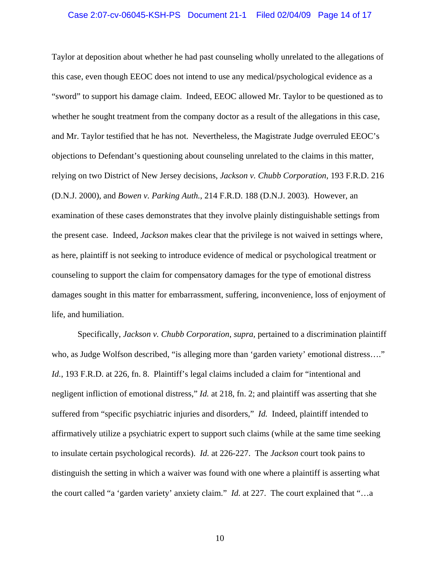### Case 2:07-cv-06045-KSH-PS Document 21-1 Filed 02/04/09 Page 14 of 17

Taylor at deposition about whether he had past counseling wholly unrelated to the allegations of this case, even though EEOC does not intend to use any medical/psychological evidence as a "sword" to support his damage claim. Indeed, EEOC allowed Mr. Taylor to be questioned as to whether he sought treatment from the company doctor as a result of the allegations in this case, and Mr. Taylor testified that he has not. Nevertheless, the Magistrate Judge overruled EEOC's objections to Defendant's questioning about counseling unrelated to the claims in this matter, relying on two District of New Jersey decisions, *Jackson v. Chubb Corporation*, 193 F.R.D. 216 (D.N.J. 2000), and *Bowen v. Parking Auth.*, [214 F.R.D. 188 \(D.N.J. 2003\)](http://www.lexis.com/research/xlink?app=00075&view=full&searchtype=get&search=214+F.R.D.+195)*.* However, an examination of these cases demonstrates that they involve plainly distinguishable settings from the present case. Indeed, *Jackson* makes clear that the privilege is not waived in settings where, as here, plaintiff is not seeking to introduce evidence of medical or psychological treatment or counseling to support the claim for compensatory damages for the type of emotional distress damages sought in this matter for embarrassment, suffering, inconvenience, loss of enjoyment of life, and humiliation.

 Specifically, *Jackson v. Chubb Corporation*, *supra,* pertained to a discrimination plaintiff who, as Judge Wolfson described, "is alleging more than 'garden variety' emotional distress...." Id., 193 F.R.D. at 226, fn. 8. Plaintiff's legal claims included a claim for "intentional and negligent infliction of emotional distress," *Id.* at 218, fn. 2; and plaintiff was asserting that she suffered from "specific psychiatric injuries and disorders," *Id.* Indeed, plaintiff intended to affirmatively utilize a psychiatric expert to support such claims (while at the same time seeking to insulate certain psychological records). *Id.* at 226-227. The *Jackson* court took pains to distinguish the setting in which a waiver was found with one where a plaintiff is asserting what the court called "a 'garden variety' anxiety claim." *Id.* at 227. The court explained that "…a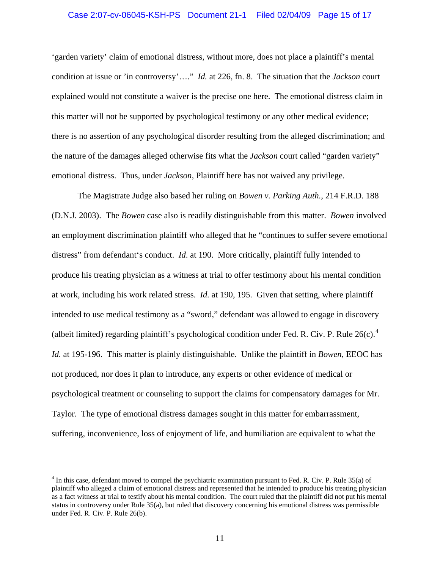### Case 2:07-cv-06045-KSH-PS Document 21-1 Filed 02/04/09 Page 15 of 17

'garden variety' claim of emotional distress, without more, does not place a plaintiff's mental condition at issue or 'in controversy'…." *Id.* at 226, fn. 8. The situation that the *Jackson* court explained would not constitute a waiver is the precise one here. The emotional distress claim in this matter will not be supported by psychological testimony or any other medical evidence; there is no assertion of any psychological disorder resulting from the alleged discrimination; and the nature of the damages alleged otherwise fits what the *Jackson* court called "garden variety" emotional distress. Thus, under *Jackson*, Plaintiff here has not waived any privilege.

 The Magistrate Judge also based her ruling on *[Bowen v. Parking Auth.](http://www.lexis.com/research/xlink?app=00075&view=full&searchtype=get&search=214+F.R.D.+192)*, 214 F.R.D. 188 [\(D.N.J. 2003\).](http://www.lexis.com/research/xlink?app=00075&view=full&searchtype=get&search=214+F.R.D.+192) The *Bowen* case also is readily distinguishable from this matter. *Bowen* involved an employment discrimination plaintiff who alleged that he "continues to suffer severe emotional distress" from defendant's conduct. *Id*. at 190. More critically, plaintiff fully intended to produce his treating physician as a witness at trial to offer testimony about his mental condition at work, including his work related stress. *Id.* at 190, 195.Given that setting, where plaintiff intended to use medical testimony as a "sword," defendant was allowed to engage in discovery (albeit limited) regarding plaintiff's psychological condition under Fed. R. Civ. P. Rule  $26(c)$ .<sup>[4](#page-14-0)</sup> *Id.* at 195-196. This matter is plainly distinguishable. Unlike the plaintiff in *Bowen*, EEOC has not produced, nor does it plan to introduce, any experts or other evidence of medical or psychological treatment or counseling to support the claims for compensatory damages for Mr. Taylor. The type of emotional distress damages sought in this matter for embarrassment, suffering, inconvenience, loss of enjoyment of life, and humiliation are equivalent to what the

<span id="page-14-0"></span> $4$  In this case, defendant moved to compel the psychiatric examination pursuant to Fed. R. Civ. P. Rule 35(a) of plaintiff who alleged a claim of emotional distress and represented that he intended to produce his treating physician as a fact witness at trial to testify about his mental condition. The court ruled that the plaintiff did not put his mental status in controversy under Rule 35(a), but ruled that discovery concerning his emotional distress was permissible under Fed. R. Civ. P. Rule 26(b).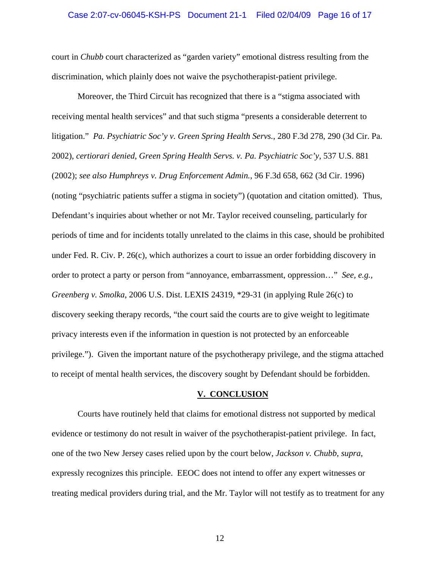### Case 2:07-cv-06045-KSH-PS Document 21-1 Filed 02/04/09 Page 16 of 17

court in *Chubb* court characterized as "garden variety" emotional distress resulting from the discrimination, which plainly does not waive the psychotherapist-patient privilege.

 Moreover, the Third Circuit has recognized that there is a "stigma associated with receiving mental health services" and that such stigma "presents a considerable deterrent to litigation." *Pa. Psychiatric Soc'y v. Green Spring Health Servs.*, 280 F.3d 278, 290 (3d Cir. Pa. 2002), *certiorari denied*, *Green Spring Health Servs. v. Pa. Psychiatric Soc'y*, 537 U.S. 881 (2002); *see also Humphreys v. Drug Enforcement Admin.*, 96 F.3d 658, 662 (3d Cir. 1996) (noting "psychiatric patients suffer a stigma in society") (quotation and citation omitted). Thus, Defendant's inquiries about whether or not Mr. Taylor received counseling, particularly for periods of time and for incidents totally unrelated to the claims in this case, should be prohibited under Fed. R. Civ. P. 26(c), which authorizes a court to issue an order forbidding discovery in order to protect a party or person from "annoyance, embarrassment, oppression…" *See, e.g., Greenberg v. Smolka*, 2006 U.S. Dist. LEXIS 24319, \*29-31 (in applying Rule 26(c) to discovery seeking therapy records, "the court said the courts are to give weight to legitimate privacy interests even if the information in question is not protected by an enforceable privilege."). Given the important nature of the psychotherapy privilege, and the stigma attached to receipt of mental health services, the discovery sought by Defendant should be forbidden.

### **V. CONCLUSION**

 Courts have routinely held that claims for emotional distress not supported by medical evidence or testimony do not result in waiver of the psychotherapist-patient privilege. In fact, one of the two New Jersey cases relied upon by the court below, *Jackson v. Chubb*, *supra*, expressly recognizes this principle. EEOC does not intend to offer any expert witnesses or treating medical providers during trial, and the Mr. Taylor will not testify as to treatment for any